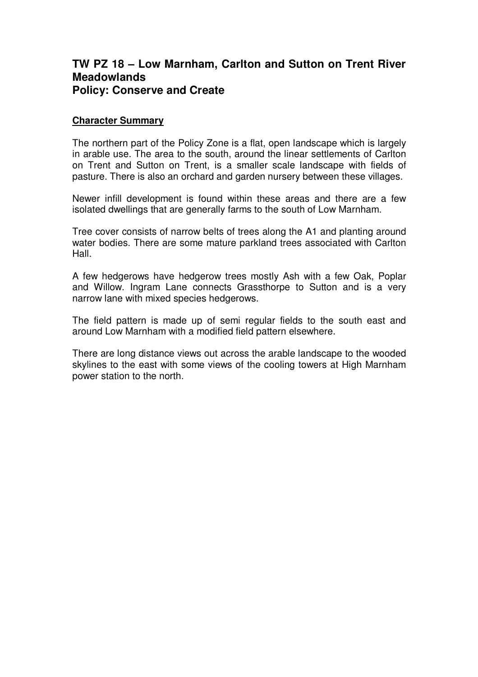## **TW PZ 18 – Low Marnham, Carlton and Sutton on Trent River Meadowlands Policy: Conserve and Create**

## **Character Summary**

The northern part of the Policy Zone is a flat, open landscape which is largely in arable use. The area to the south, around the linear settlements of Carlton on Trent and Sutton on Trent, is a smaller scale landscape with fields of pasture. There is also an orchard and garden nursery between these villages.

Newer infill development is found within these areas and there are a few isolated dwellings that are generally farms to the south of Low Marnham.

Tree cover consists of narrow belts of trees along the A1 and planting around water bodies. There are some mature parkland trees associated with Carlton Hall.

A few hedgerows have hedgerow trees mostly Ash with a few Oak, Poplar and Willow. Ingram Lane connects Grassthorpe to Sutton and is a very narrow lane with mixed species hedgerows.

The field pattern is made up of semi regular fields to the south east and around Low Marnham with a modified field pattern elsewhere.

There are long distance views out across the arable landscape to the wooded skylines to the east with some views of the cooling towers at High Marnham power station to the north.